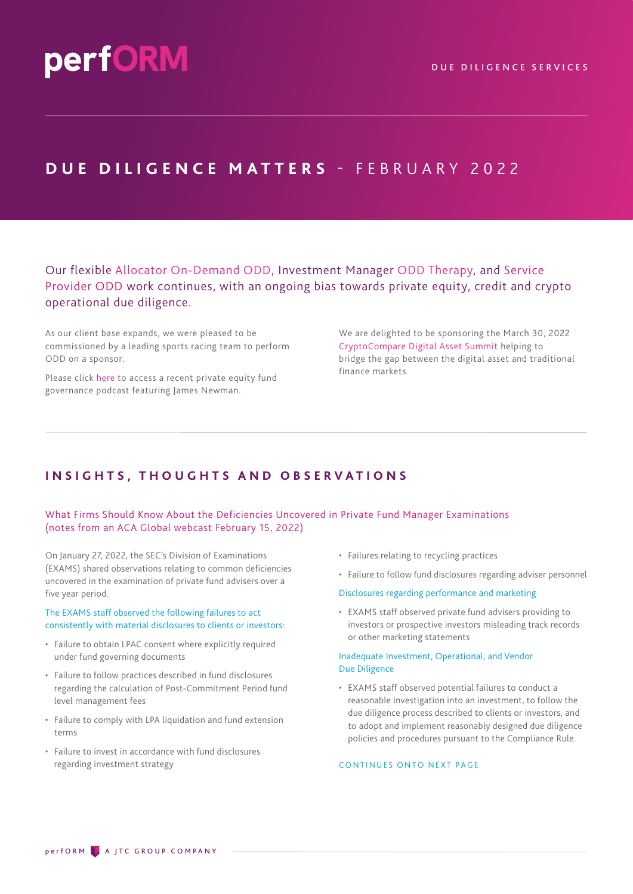## **DUE DILIGENCE MATTERS - FEBRUARY 2022**

Our flexible Allocator On-Demand ODD, Investment Manager ODD Therapy, and Service Provider ODD work continues, with an ongoing bias towards private equity, credit and crypto operational due diligence.

As our client base expands, we were pleased to be commissioned by a leading sports racing team to perform ODD on a sponsor.

Please click [here](https://www.jtcgroup.com/insights/private-equity-talks-podcast-corporate-governance/) to access a recent private equity fund governance podcast featuring James Newman.

We are delighted to be sponsoring the March 30, 2022 [CryptoCompare Digital Asset Summit](https://summit.cryptocompare.com/partners) helping to bridge the gap between the digital asset and traditional finance markets.

### **INSIGHTS, THOUGHTS AND OBSERVATIONS**

#### What Firms Should Know About the Deficiencies Uncovered in Private Fund Manager Examinations (notes from an ACA Global webcast February 15, 2022)

On January 27, 2022, the SEC's Division of Examinations (EXAMS) shared observations relating to common deficiencies uncovered in the examination of private fund advisers over a five year period.

#### The EXAMS staff observed the following failures to act consistently with material disclosures to clients or investors:

- Failure to obtain LPAC consent where explicitly required under fund governing documents
- Failure to follow practices described in fund disclosures regarding the calculation of Post-Commitment Period fund level management fees
- Failure to comply with LPA liquidation and fund extension terms
- Failure to invest in accordance with fund disclosures regarding investment strategy
- Failures relating to recycling practices
- Failure to follow fund disclosures regarding adviser personnel
- Disclosures regarding performance and marketing
- EXAMS staff observed private fund advisers providing to investors or prospective investors misleading track records or other marketing statements

#### Inadequate Investment, Operational, and Vendor Due Diligence

• EXAMS staff observed potential failures to conduct a reasonable investigation into an investment, to follow the due diligence process described to clients or investors, and to adopt and implement reasonably designed due diligence policies and procedures pursuant to the Compliance Rule.

#### CONTINUES ONTO NEXT PAGE